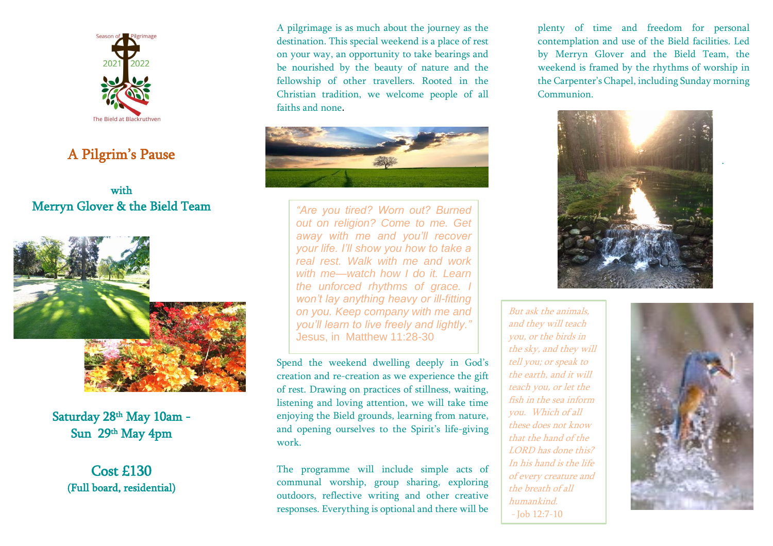

# A Pilgrim's Pause

#### with Merryn Glover & the Bield Team



Saturday 28th May 10am - Sun 29th May 4pm

Cost £130 (Full board, residential) A pilgrimage is as much about the journey as the destination. This special weekend is a place of rest on your way, an opportunity to take bearings and be nourished by the beauty of nature and the fellowship of other travellers. Rooted in the Christian tradition, we welcome people of all faiths and none.



*"Are you tired? Worn out? Burned out on religion? Come to me. Get away with me and you'll recover your life. I'll show you how to take a real rest. Walk with me and work with me—watch how I do it. Learn the unforced rhythms of grace. I won't lay anything heavy or ill-fitting on you. Keep company with me and you'll learn to live freely and lightly."* Jesus, in Matthew 11:28-30

Spend the weekend dwelling deeply in God's creation and re-creation as we experience the gift of rest. Drawing on practices of stillness, waiting, listening and loving attention, we will take time enjoying the Bield grounds, learning from nature, and opening ourselves to the Spirit's life-giving work.

The programme will include simple acts of communal worship, group sharing, exploring outdoors, reflective writing and other creative responses. Everything is optional and there will be plenty of time and freedom for personal contemplation and use of the Bield facilities. Led by Merryn Glover and the Bield Team, the weekend is framed by the rhythms of worship in the Carpenter's Chapel, including Sunday morning Communion.



But ask the animals, and they will teach you, or the birds in the sky, and they will tell you; or speak to the earth, and it will teach you, or let the fish in the sea inform you. Which of all these does not know that the hand of the LORD has done this? In his hand is the life of every creature and the breath of all humankind. - Job 12:7-10